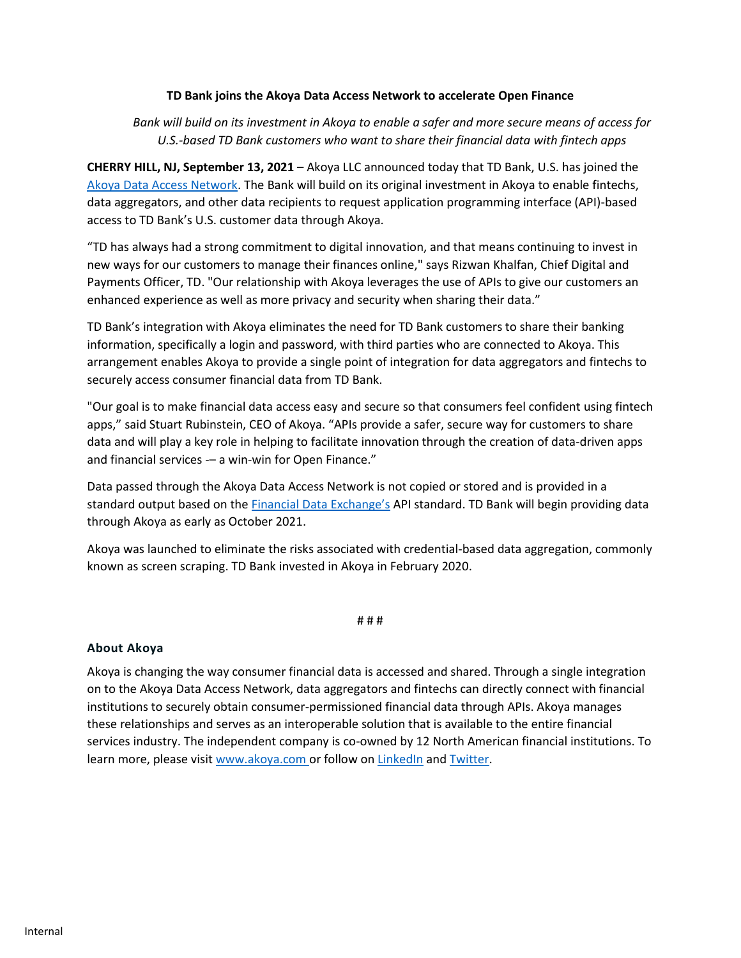## **TD Bank joins the Akoya Data Access Network to accelerate Open Finance**

## *Bank will build on its investment in Akoya to enable a safer and more secure means of access for U.S.-based TD Bank customers who want to share their financial data with fintech apps*

**CHERRY HILL, NJ, September 13, 2021** – Akoya LLC announced today that TD Bank, U.S. has joined th[e](https://www.akoya.com/network?utm_source=Chase%20release&utm_medium=hyperlink&utm_campaign=Chase%20Announcement) [Akoya Data Access Network.](https://www.akoya.com/network?utm_source=Press%20Release&utm_medium=hyperlink&utm_campaign=TD%20Bank%20Announcement) The Bank will build on its original investment in Akoya to enable fintechs, data aggregators, and other data recipients to request application programming interface (API)-based access to TD Bank's U.S. customer data through Akoya.

"TD has always had a strong commitment to digital innovation, and that means continuing to invest in new ways for our customers to manage their finances online," says Rizwan Khalfan, Chief Digital and Payments Officer, TD. "Our relationship with Akoya leverages the use of APIs to give our customers an enhanced experience as well as more privacy and security when sharing their data."

TD Bank's integration with Akoya eliminates the need for TD Bank customers to share their banking information, specifically a login and password, with third parties who are connected to Akoya. This arrangement enables Akoya to provide a single point of integration for data aggregators and fintechs to securely access consumer financial data from TD Bank.

"Our goal is to make financial data access easy and secure so that consumers feel confident using fintech apps," said Stuart Rubinstein, CEO of Akoya. "APIs provide a safer, secure way for customers to share data and will play a key role in helping to facilitate innovation through the creation of data-driven apps and financial services -– a win-win for Open Finance."

Data passed through the Akoya Data Access Network is not copied or stored and is provided in a standard output based on the [Financial Data Exchange](https://financialdataexchange.org/)'s API standard. TD Bank will begin providing data through Akoya as early as October 2021.

Akoya was launched to eliminate the risks associated with credential-based data aggregation, commonly known as screen scraping. TD Bank invested in Akoya in February 2020.

# # #

## **About Akoya**

Akoya is changing the way consumer financial data is accessed and shared. Through a single integration on to the Akoya Data Access Network, data aggregators and fintechs can directly connect with financial institutions to securely obtain consumer-permissioned financial data through APIs. Akoya manages these relationships and serves as an interoperable solution that is available to the entire financial services industry. The independent company is co-owned by 12 North American financial institutions. To learn more, please visit [www.akoya.com](http://www.akoya.com/) or follow on [LinkedIn](https://www.linkedin.com/company/akoyanetwork) an[d Twitter.](https://twitter.com/AkoyaNetwork)